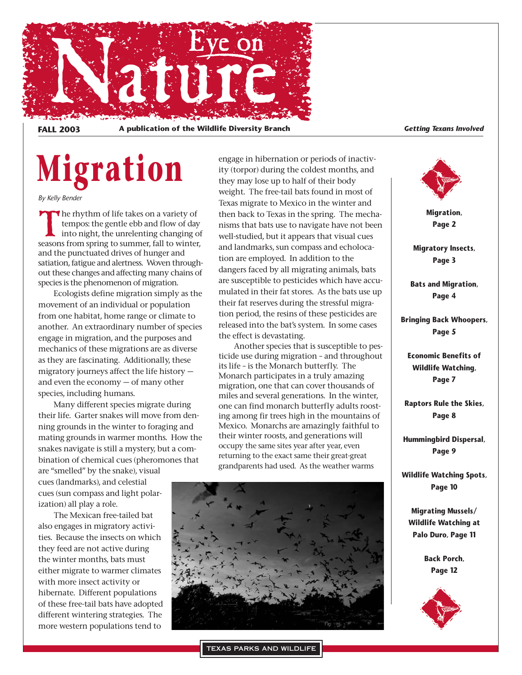

**FALL 2003 A publication of the Wildlife Diversity Branch** *Getting Texans Involved*

# **Migration**

*By Kelly Bender*

The rhythm of life takes on a variety of tempos: the gentle ebb and flow of day into night, the unrelenting changing of seasons from spring to summer, fall to winter, tempos: the gentle ebb and flow of day into night, the unrelenting changing of and the punctuated drives of hunger and satiation, fatigue and alertness. Woven throughout these changes and affecting many chains of species is the phenomenon of migration.

Ecologists define migration simply as the movement of an individual or population from one habitat, home range or climate to another. An extraordinary number of species engage in migration, and the purposes and mechanics of these migrations are as diverse as they are fascinating. Additionally, these migratory journeys affect the life history and even the economy — of many other species, including humans.

Many different species migrate during their life. Garter snakes will move from denning grounds in the winter to foraging and mating grounds in warmer months. How the snakes navigate is still a mystery, but a combination of chemical cues (pheromones that

are "smelled" by the snake), visual cues (landmarks), and celestial cues (sun compass and light polarization) all play a role.

The Mexican free-tailed bat also engages in migratory activities. Because the insects on which they feed are not active during the winter months, bats must either migrate to warmer climates with more insect activity or hibernate. Different populations of these free-tail bats have adopted different wintering strategies. The more western populations tend to

engage in hibernation or periods of inactivity (torpor) during the coldest months, and they may lose up to half of their body weight. The free-tail bats found in most of Texas migrate to Mexico in the winter and then back to Texas in the spring. The mechanisms that bats use to navigate have not been well-studied, but it appears that visual cues and landmarks, sun compass and echolocation are employed. In addition to the dangers faced by all migrating animals, bats are susceptible to pesticides which have accumulated in their fat stores. As the bats use up their fat reserves during the stressful migration period, the resins of these pesticides are released into the bat's system. In some cases the effect is devastating.

Another species that is susceptible to pesticide use during migration – and throughout its life – is the Monarch butterfly. The Monarch participates in a truly amazing migration, one that can cover thousands of miles and several generations. In the winter, one can find monarch butterfly adults roosting among fir trees high in the mountains of Mexico. Monarchs are amazingly faithful to their winter roosts, and generations will occupy the same sites year after year, even returning to the exact same their great-great grandparents had used. As the weather warms





**Migration, Page 2**

**Migratory Insects, Page 3**

**Bats and Migration, Page 4**

**Bringing Back Whoopers, Page 5**

**Economic Benefits of Wildlife Watching, Page 7**

**Raptors Rule the Skies, Page 8**

**Hummingbird Dispersal, Page 9**

**Wildlife Watching Spots, Page 10**

**Migrating Mussels/ Wildlife Watching at Palo Duro, Page 11**

> **Back Porch, Page 12**



TEXAS PARKS AND WILDLIFE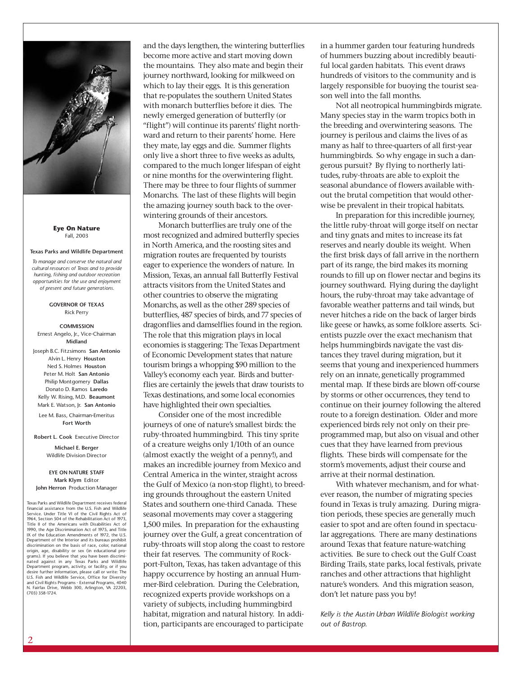

**Eye On Nature** Fall, 2003

#### **Texas Parks and Wildlife Department**

*To manage and conserve the natural and cultural resources of Texas and to provide hunting, fishing and outdoor recreation opportunities for the use and enjoyment of present and future generations.*

#### **GOVERNOR OF TEXAS** Rick Perry

#### **COMMISSION** Ernest Angelo, Jr., Vice-Chairman **Midland**

Joseph B.C. Fitzsimons **San Antonio** Alvin L. Henry **Houston** Ned S. Holmes **Houston** Peter M. Holt **San Antonio** Philip Montgomery **Dallas** Donato D. Ramos **Laredo** Kelly W. Rising, M.D. **Beaumont** Mark E. Watson, Jr. **San Antonio**

Lee M. Bass, Chairman-Emeritus **Fort Worth**

**Robert L. Cook** Executive Director

**Michael E. Berger** Wildlife Division Director

#### **EYE ON NATURE STAFF Mark Klym** Editor **John Herron** Production Manager

Texas Parks and Wildlife Department receives federal financial assistance from the U.S. Fish and Wildlife Service. Under Title VI of the Civil Rights Act of 1964, Section 504 of the Rehabilitation Act of 1973, Title II of the Americans with Disabilities Act of 1990, the Age Discrimination Act of 1975, and Title IX of the Education Amendments of 1972, the U.S. Department of the Interior and its bureaus prohibit discrimination on the basis of race, color, national origin, age, disability or sex (in educational pro-grams). If you believe that you have been discriminated against in any Texas Parks and Wildlife Department program, activity, or facility, or if you desire further information, please call or write: The U.S. Fish and Wildlife Service, Office for Diversity and Civil Rights Programs - External Programs, 4040 N. Fairfax Drive, Webb 300, Arlington, VA 22203, (703) 358-1724.

and the days lengthen, the wintering butterflies become more active and start moving down the mountains. They also mate and begin their journey northward, looking for milkweed on which to lay their eggs. It is this generation that re-populates the southern United States with monarch butterflies before it dies. The newly emerged generation of butterfly (or "flight") will continue its parents' flight northward and return to their parents' home. Here they mate, lay eggs and die. Summer flights only live a short three to five weeks as adults, compared to the much longer lifespan of eight or nine months for the overwintering flight. There may be three to four flights of summer Monarchs. The last of these flights will begin the amazing journey south back to the overwintering grounds of their ancestors.

Monarch butterflies are truly one of the most recognized and admired butterfly species in North America, and the roosting sites and migration routes are frequented by tourists eager to experience the wonders of nature. In Mission, Texas, an annual fall Butterfly Festival attracts visitors from the United States and other countries to observe the migrating Monarchs, as well as the other 289 species of butterflies, 487 species of birds, and 77 species of dragonflies and damselflies found in the region. The role that this migration plays in local economies is staggering: The Texas Department of Economic Development states that nature tourism brings a whopping \$90 million to the Valley's economy each year. Birds and butterflies are certainly the jewels that draw tourists to Texas destinations, and some local economies have highlighted their own specialties.

Consider one of the most incredible journeys of one of nature's smallest birds: the ruby-throated hummingbird. This tiny sprite of a creature weighs only 1/10th of an ounce (almost exactly the weight of a penny!), and makes an incredible journey from Mexico and Central America in the winter, straight across the Gulf of Mexico (a non-stop flight), to breeding grounds throughout the eastern United States and southern one-third Canada. These seasonal movements may cover a staggering 1,500 miles. In preparation for the exhausting journey over the Gulf, a great concentration of ruby-throats will stop along the coast to restore their fat reserves. The community of Rockport-Fulton, Texas, has taken advantage of this happy occurrence by hosting an annual Hummer-Bird celebration. During the Celebration, recognized experts provide workshops on a variety of subjects, including hummingbird habitat, migration and natural history. In addition, participants are encouraged to participate

in a hummer garden tour featuring hundreds of hummers buzzing about incredibly beautiful local garden habitats. This event draws hundreds of visitors to the community and is largely responsible for buoying the tourist season well into the fall months.

Not all neotropical hummingbirds migrate. Many species stay in the warm tropics both in the breeding and overwintering seasons. The journey is perilous and claims the lives of as many as half to three-quarters of all first-year hummingbirds. So why engage in such a dangerous pursuit? By flying to northerly latitudes, ruby-throats are able to exploit the seasonal abundance of flowers available without the brutal competition that would otherwise be prevalent in their tropical habitats.

In preparation for this incredible journey, the little ruby-throat will gorge itself on nectar and tiny gnats and mites to increase its fat reserves and nearly double its weight. When the first brisk days of fall arrive in the northern part of its range, the bird makes its morning rounds to fill up on flower nectar and begins its journey southward. Flying during the daylight hours, the ruby-throat may take advantage of favorable weather patterns and tail winds, but never hitches a ride on the back of larger birds like geese or hawks, as some folklore asserts. Scientists puzzle over the exact mechanism that helps hummingbirds navigate the vast distances they travel during migration, but it seems that young and inexperienced hummers rely on an innate, genetically programmed mental map. If these birds are blown off-course by storms or other occurrences, they tend to continue on their journey following the altered route to a foreign destination. Older and more experienced birds rely not only on their preprogrammed map, but also on visual and other cues that they have learned from previous flights. These birds will compensate for the storm's movements, adjust their course and arrive at their normal destination.

With whatever mechanism, and for whatever reason, the number of migrating species found in Texas is truly amazing. During migration periods, these species are generally much easier to spot and are often found in spectacular aggregations. There are many destinations around Texas that feature nature-watching activities. Be sure to check out the Gulf Coast Birding Trails, state parks, local festivals, private ranches and other attractions that highlight nature's wonders. And this migration season, don't let nature pass you by!

*Kelly is the Austin Urban Wildlife Biologist working out of Bastrop.*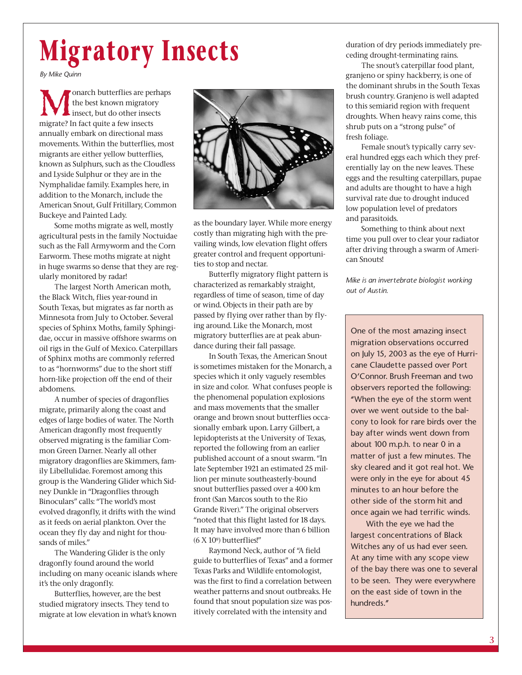## **Migratory Insects**

*By Mike Quinn*

onarch butterflies are perhaps the best known migratory insect, but do other insects migrate? In fact quite a few insects annually embark on directional mass movements. Within the butterflies, most migrants are either yellow butterflies, known as Sulphurs, such as the Cloudless and Lyside Sulphur or they are in the Nymphalidae family. Examples here, in addition to the Monarch, include the American Snout, Gulf Fritillary, Common Buckeye and Painted Lady.

Some moths migrate as well, mostly agricultural pests in the family Noctuidae such as the Fall Armyworm and the Corn Earworm. These moths migrate at night in huge swarms so dense that they are regularly monitored by radar!

The largest North American moth, the Black Witch, flies year-round in South Texas, but migrates as far north as Minnesota from July to October. Several species of Sphinx Moths, family Sphingidae, occur in massive offshore swarms on oil rigs in the Gulf of Mexico. Caterpillars of Sphinx moths are commonly referred to as "hornworms" due to the short stiff horn-like projection off the end of their abdomens.

A number of species of dragonflies migrate, primarily along the coast and edges of large bodies of water. The North American dragonfly most frequently observed migrating is the familiar Common Green Darner. Nearly all other migratory dragonflies are Skimmers, family Libellulidae. Foremost among this group is the Wandering Glider which Sidney Dunkle in "Dragonflies through Binoculars" calls: "The world's most evolved dragonfly, it drifts with the wind as it feeds on aerial plankton. Over the ocean they fly day and night for thousands of miles."

The Wandering Glider is the only dragonfly found around the world including on many oceanic islands where it's the only dragonfly.

Butterflies, however, are the best studied migratory insects. They tend to migrate at low elevation in what's known



as the boundary layer. While more energy costly than migrating high with the prevailing winds, low elevation flight offers greater control and frequent opportunities to stop and nectar.

Butterfly migratory flight pattern is characterized as remarkably straight, regardless of time of season, time of day or wind. Objects in their path are by passed by flying over rather than by flying around. Like the Monarch, most migratory butterflies are at peak abundance during their fall passage.

In South Texas, the American Snout is sometimes mistaken for the Monarch, a species which it only vaguely resembles in size and color. What confuses people is the phenomenal population explosions and mass movements that the smaller orange and brown snout butterflies occasionally embark upon. Larry Gilbert, a lepidopterists at the University of Texas, reported the following from an earlier published account of a snout swarm. "In late September 1921 an estimated 25 million per minute southeasterly-bound snout butterflies passed over a 400 km front (San Marcos south to the Rio Grande River)." The original observers "noted that this flight lasted for 18 days. It may have involved more than 6 billion (6 X 109) butterflies!"

Raymond Neck, author of "A field guide to butterflies of Texas" and a former Texas Parks and Wildlife entomologist, was the first to find a correlation between weather patterns and snout outbreaks. He found that snout population size was positively correlated with the intensity and

duration of dry periods immediately preceding drought-terminating rains.

The snout's caterpillar food plant, granjeno or spiny hackberry, is one of the dominant shrubs in the South Texas brush country. Granjeno is well adapted to this semiarid region with frequent droughts. When heavy rains come, this shrub puts on a "strong pulse" of fresh foliage.

Female snout's typically carry several hundred eggs each which they preferentially lay on the new leaves. These eggs and the resulting caterpillars, pupae and adults are thought to have a high survival rate due to drought induced low population level of predators and parasitoids.

Something to think about next time you pull over to clear your radiator after driving through a swarm of American Snouts!

*Mike is an invertebrate biologist working out of Austin.*

One of the most amazing insect migration observations occurred on July 15, 2003 as the eye of Hurricane Claudette passed over Port O'Connor. Brush Freeman and two observers reported the following: "When the eye of the storm went over we went outside to the balcony to look for rare birds over the bay after winds went down from about 100 m.p.h. to near 0 in a matter of just a few minutes. The sky cleared and it got real hot. We were only in the eye for about 45 minutes to an hour before the other side of the storm hit and once again we had terrific winds.

With the eye we had the largest concentrations of Black Witches any of us had ever seen. At any time with any scope view of the bay there was one to several to be seen. They were everywhere on the east side of town in the hundreds."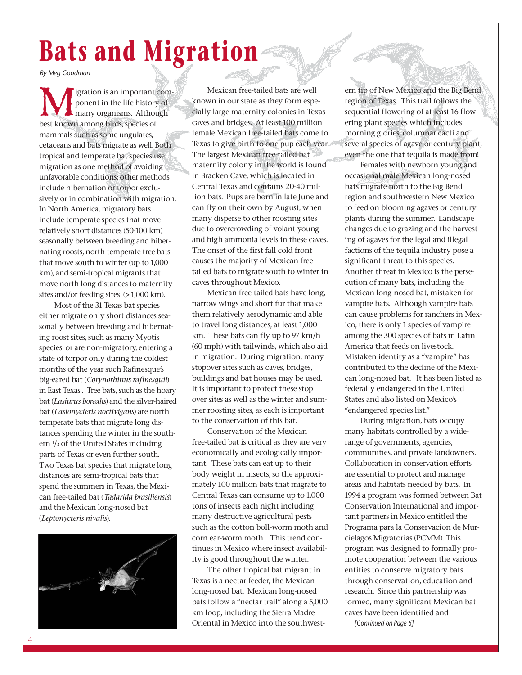## **Bats and Migration**

*By Meg Goodman*

**M**igration is an important com-<br>ponent in the life history of<br>hany organisms. Although<br>best known among birds, species of ponent in the life history of many organisms. Although best known among birds, species of mammals such as some ungulates, cetaceans and bats migrate as well. Both tropical and temperate bat species use migration as one method of avoiding unfavorable conditions; other methods include hibernation or torpor exclusively or in combination with migration. In North America, migratory bats include temperate species that move relatively short distances (50-100 km) seasonally between breeding and hibernating roosts, north temperate tree bats that move south to winter (up to 1,000 km), and semi-tropical migrants that move north long distances to maternity sites and/or feeding sites (> 1,000 km).

Most of the 31 Texas bat species either migrate only short distances seasonally between breeding and hibernating roost sites, such as many Myotis species, or are non-migratory, entering a state of torpor only during the coldest months of the year such Rafinesque's big-eared bat (*Corynorhinus rafinesquii*) in East Texas . Tree bats, such as the hoary bat (*Lasiurus borealis*) and the silver-haired bat (*Lasionycteris noctivigans*) are north temperate bats that migrate long distances spending the winter in the southern 1/3 of the United States including parts of Texas or even further south. Two Texas bat species that migrate long distances are semi-tropical bats that spend the summers in Texas, the Mexican free-tailed bat (*Tadarida brasiliensis*) and the Mexican long-nosed bat (*Leptonycteris nivalis*).



Mexican free-tailed bats are well known in our state as they form especially large maternity colonies in Texas caves and bridges. At least 100 million female Mexican free-tailed bats come to Texas to give birth to one pup each year. The largest Mexican free-tailed bat maternity colony in the world is found in Bracken Cave, which is located in Central Texas and contains 20-40 million bats. Pups are born in late June and can fly on their own by August, when many disperse to other roosting sites due to overcrowding of volant young and high ammonia levels in these caves. The onset of the first fall cold front causes the majority of Mexican freetailed bats to migrate south to winter in caves throughout Mexico.

Mexican free-tailed bats have long, narrow wings and short fur that make them relatively aerodynamic and able to travel long distances, at least 1,000 km. These bats can fly up to 97 km/h (60 mph) with tailwinds, which also aid in migration. During migration, many stopover sites such as caves, bridges, buildings and bat houses may be used. It is important to protect these stop over sites as well as the winter and summer roosting sites, as each is important to the conservation of this bat.

Conservation of the Mexican free-tailed bat is critical as they are very economically and ecologically important. These bats can eat up to their body weight in insects, so the approximately 100 million bats that migrate to Central Texas can consume up to 1,000 tons of insects each night including many destructive agricultural pests such as the cotton boll-worm moth and corn ear-worm moth. This trend continues in Mexico where insect availability is good throughout the winter.

The other tropical bat migrant in Texas is a nectar feeder, the Mexican long-nosed bat. Mexican long-nosed bats follow a "nectar trail" along a 5,000 km loop, including the Sierra Madre Oriental in Mexico into the southwestern tip of New Mexico and the Big Bend region of Texas. This trail follows the sequential flowering of at least 16 flowering plant species which includes morning glories, columnar cacti and several species of agave or century plant, even the one that tequila is made from!

Females with newborn young and occasional male Mexican long-nosed bats migrate north to the Big Bend region and southwestern New Mexico to feed on blooming agaves or century plants during the summer. Landscape changes due to grazing and the harvesting of agaves for the legal and illegal factions of the tequila industry pose a significant threat to this species. Another threat in Mexico is the persecution of many bats, including the Mexican long-nosed bat, mistaken for vampire bats. Although vampire bats can cause problems for ranchers in Mexico, there is only 1 species of vampire among the 300 species of bats in Latin America that feeds on livestock. Mistaken identity as a "vampire" has contributed to the decline of the Mexican long-nosed bat. It has been listed as federally endangered in the United States and also listed on Mexico's "endangered species list."

During migration, bats occupy many habitats controlled by a widerange of governments, agencies, communities, and private landowners. Collaboration in conservation efforts are essential to protect and manage areas and habitats needed by bats. In 1994 a program was formed between Bat Conservation International and important partners in Mexico entitled the Programa para la Conservacion de Murcielagos Migratorias (PCMM). This program was designed to formally promote cooperation between the various entities to conserve migratory bats through conservation, education and research. Since this partnership was formed, many significant Mexican bat caves have been identified and

*[Continued on Page 6]*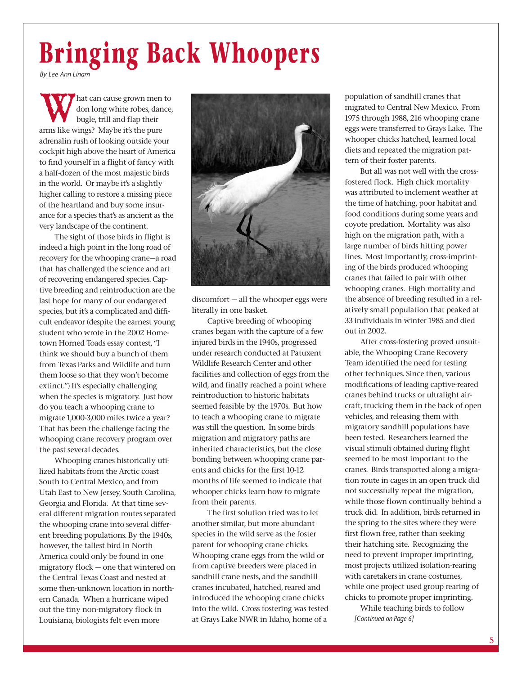## **Bringing Back Whoopers**

*By Lee Ann Linam*

**W** hat can cause grown men to don long white robes, dance bugle, trill and flap their arms like wings? Maybe it's the pure don long white robes, dance, bugle, trill and flap their adrenalin rush of looking outside your cockpit high above the heart of America to find yourself in a flight of fancy with a half-dozen of the most majestic birds in the world. Or maybe it's a slightly higher calling to restore a missing piece of the heartland and buy some insurance for a species that's as ancient as the very landscape of the continent.

The sight of those birds in flight is indeed a high point in the long road of recovery for the whooping crane—a road that has challenged the science and art of recovering endangered species. Captive breeding and reintroduction are the last hope for many of our endangered species, but it's a complicated and difficult endeavor (despite the earnest young student who wrote in the 2002 Hometown Horned Toads essay contest, "I think we should buy a bunch of them from Texas Parks and Wildlife and turn them loose so that they won't become extinct.") It's especially challenging when the species is migratory. Just how do you teach a whooping crane to migrate 1,000-3,000 miles twice a year? That has been the challenge facing the whooping crane recovery program over the past several decades.

Whooping cranes historically utilized habitats from the Arctic coast South to Central Mexico, and from Utah East to New Jersey, South Carolina, Georgia and Florida. At that time several different migration routes separated the whooping crane into several different breeding populations. By the 1940s, however, the tallest bird in North America could only be found in one migratory flock — one that wintered on the Central Texas Coast and nested at some then-unknown location in northern Canada. When a hurricane wiped out the tiny non-migratory flock in Louisiana, biologists felt even more



discomfort — all the whooper eggs were literally in one basket.

Captive breeding of whooping cranes began with the capture of a few injured birds in the 1940s, progressed under research conducted at Patuxent Wildlife Research Center and other facilities and collection of eggs from the wild, and finally reached a point where reintroduction to historic habitats seemed feasible by the 1970s. But how to teach a whooping crane to migrate was still the question. In some birds migration and migratory paths are inherited characteristics, but the close bonding between whooping crane parents and chicks for the first 10-12 months of life seemed to indicate that whooper chicks learn how to migrate from their parents.

The first solution tried was to let another similar, but more abundant species in the wild serve as the foster parent for whooping crane chicks. Whooping crane eggs from the wild or from captive breeders were placed in sandhill crane nests, and the sandhill cranes incubated, hatched, reared and introduced the whooping crane chicks into the wild. Cross fostering was tested at Grays Lake NWR in Idaho, home of a

population of sandhill cranes that migrated to Central New Mexico. From 1975 through 1988, 216 whooping crane eggs were transferred to Grays Lake. The whooper chicks hatched, learned local diets and repeated the migration pattern of their foster parents.

But all was not well with the crossfostered flock. High chick mortality was attributed to inclement weather at the time of hatching, poor habitat and food conditions during some years and coyote predation. Mortality was also high on the migration path, with a large number of birds hitting power lines. Most importantly, cross-imprinting of the birds produced whooping cranes that failed to pair with other whooping cranes. High mortality and the absence of breeding resulted in a relatively small population that peaked at 33 individuals in winter 1985 and died out in 2002.

After cross-fostering proved unsuitable, the Whooping Crane Recovery Team identified the need for testing other techniques. Since then, various modifications of leading captive-reared cranes behind trucks or ultralight aircraft, trucking them in the back of open vehicles, and releasing them with migratory sandhill populations have been tested. Researchers learned the visual stimuli obtained during flight seemed to be most important to the cranes. Birds transported along a migration route in cages in an open truck did not successfully repeat the migration, while those flown continually behind a truck did. In addition, birds returned in the spring to the sites where they were first flown free, rather than seeking their hatching site. Recognizing the need to prevent improper imprinting, most projects utilized isolation-rearing with caretakers in crane costumes, while one project used group rearing of chicks to promote proper imprinting.

While teaching birds to follow *[Continued on Page 6]*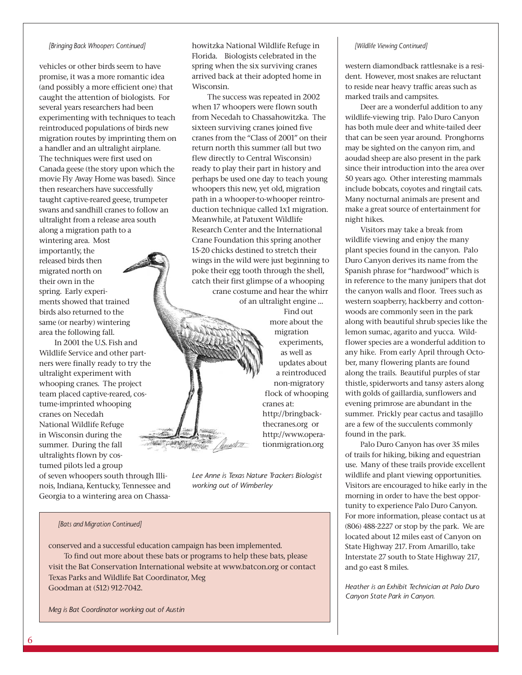#### *[Bringing Back Whoopers Continued]*

vehicles or other birds seem to have promise, it was a more romantic idea (and possibly a more efficient one) that caught the attention of biologists. For several years researchers had been experimenting with techniques to teach reintroduced populations of birds new migration routes by imprinting them on a handler and an ultralight airplane. The techniques were first used on Canada geese (the story upon which the movie Fly Away Home was based). Since then researchers have successfully taught captive-reared geese, trumpeter swans and sandhill cranes to follow an ultralight from a release area south along a migration path to a wintering area. Most

importantly, the released birds then migrated north on their own in the spring. Early experiments showed that trained birds also returned to the same (or nearby) wintering area the following fall.

In 2001 the U.S. Fish and Wildlife Service and other partners were finally ready to try the ultralight experiment with whooping cranes. The project team placed captive-reared, costume-imprinted whooping cranes on Necedah National Wildlife Refuge in Wisconsin during the summer. During the fall ultralights flown by costumed pilots led a group

of seven whoopers south through Illinois, Indiana, Kentucky, Tennessee and Georgia to a wintering area on Chassahowitzka National Wildlife Refuge in Florida. Biologists celebrated in the spring when the six surviving cranes arrived back at their adopted home in Wisconsin.

The success was repeated in 2002 when 17 whoopers were flown south from Necedah to Chassahowitzka. The sixteen surviving cranes joined five cranes from the "Class of 2001" on their return north this summer (all but two flew directly to Central Wisconsin) ready to play their part in history and perhaps be used one day to teach young whoopers this new, yet old, migration path in a whooper-to-whooper reintroduction technique called 1x1 migration. Meanwhile, at Patuxent Wildlife Research Center and the International Crane Foundation this spring another 15-20 chicks destined to stretch their wings in the wild were just beginning to poke their egg tooth through the shell, catch their first glimpse of a whooping crane costume and hear the whirr of an ultralight engine …

> Find out more about the migration experiments, as well as updates about a reintroduced non-migratory flock of whooping cranes at: http://bringbackthecranes.org or http://www.operationmigration.org

*Lee Anne is Texas Nature Trackers Biologist working out of Wimberley*

#### *[Bats and Migration Continued]*

conserved and a successful education campaign has been implemented. To find out more about these bats or programs to help these bats, please visit the Bat Conservation International website at www.batcon.org or contact Texas Parks and Wildlife Bat Coordinator, Meg Goodman at (512) 912-7042.

*Meg is Bat Coordinator working out of Austin*

#### *[Wildlife Viewing Continued]*

western diamondback rattlesnake is a resident. However, most snakes are reluctant to reside near heavy traffic areas such as marked trails and campsites.

Deer are a wonderful addition to any wildlife-viewing trip. Palo Duro Canyon has both mule deer and white-tailed deer that can be seen year around. Pronghorns may be sighted on the canyon rim, and aoudad sheep are also present in the park since their introduction into the area over 50 years ago. Other interesting mammals include bobcats, coyotes and ringtail cats. Many nocturnal animals are present and make a great source of entertainment for night hikes.

Visitors may take a break from wildlife viewing and enjoy the many plant species found in the canyon. Palo Duro Canyon derives its name from the Spanish phrase for "hardwood" which is in reference to the many junipers that dot the canyon walls and floor. Trees such as western soapberry, hackberry and cottonwoods are commonly seen in the park along with beautiful shrub species like the lemon sumac, agarito and yucca. Wildflower species are a wonderful addition to any hike. From early April through October, many flowering plants are found along the trails. Beautiful purples of star thistle, spiderworts and tansy asters along with golds of gaillardia, sunflowers and evening primrose are abundant in the summer. Prickly pear cactus and tasajillo are a few of the succulents commonly found in the park.

Palo Duro Canyon has over 35 miles of trails for hiking, biking and equestrian use. Many of these trails provide excellent wildlife and plant viewing opportunities. Visitors are encouraged to hike early in the morning in order to have the best opportunity to experience Palo Duro Canyon. For more information, please contact us at (806) 488-2227 or stop by the park. We are located about 12 miles east of Canyon on State Highway 217. From Amarillo, take Interstate 27 south to State Highway 217, and go east 8 miles.

*Heather is an Exhibit Technician at Palo Duro Canyon State Park in Canyon.*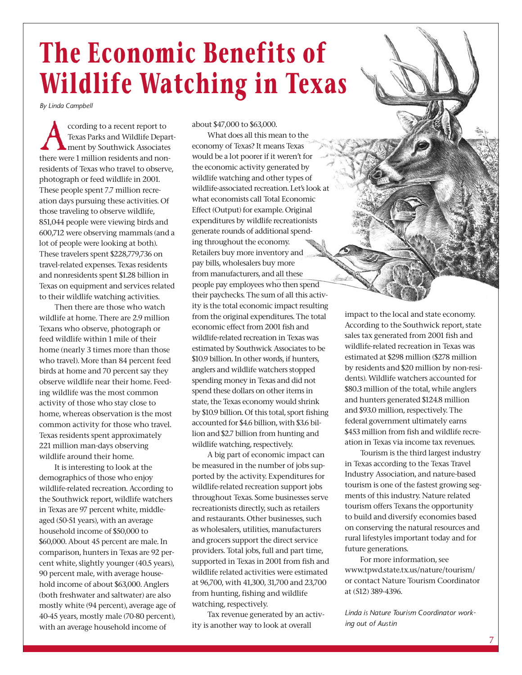### **The Economic Benefits of Wildlife Watching in Texas**

*By Linda Campbell*

ccording to a recent report to<br>Texas Parks and Wildlife Departed ment by Southwick Associate<br>there were 1 million residents and nor Texas Parks and Wildlife Department by Southwick Associates there were 1 million residents and nonresidents of Texas who travel to observe, photograph or feed wildlife in 2001. These people spent 7.7 million recreation days pursuing these activities. Of those traveling to observe wildlife, 851,044 people were viewing birds and 600,712 were observing mammals (and a lot of people were looking at both). These travelers spent \$228,779,736 on travel-related expenses. Texas residents and nonresidents spent \$1.28 billion in Texas on equipment and services related to their wildlife watching activities.

Then there are those who watch wildlife at home. There are 2.9 million Texans who observe, photograph or feed wildlife within 1 mile of their home (nearly 3 times more than those who travel). More than 84 percent feed birds at home and 70 percent say they observe wildlife near their home. Feeding wildlife was the most common activity of those who stay close to home, whereas observation is the most common activity for those who travel. Texas residents spent approximately 221 million man-days observing wildlife around their home.

It is interesting to look at the demographics of those who enjoy wildlife-related recreation. According to the Southwick report, wildlife watchers in Texas are 97 percent white, middleaged (50-51 years), with an average household income of \$50,000 to \$60,000. About 45 percent are male. In comparison, hunters in Texas are 92 percent white, slightly younger (40.5 years), 90 percent male, with average household income of about \$63,000. Anglers (both freshwater and saltwater) are also mostly white (94 percent), average age of 40-45 years, mostly male (70-80 percent), with an average household income of

about \$47,000 to \$63,000.

What does all this mean to the economy of Texas? It means Texas would be a lot poorer if it weren't for the economic activity generated by wildlife watching and other types of wildlife-associated recreation. Let's look at what economists call Total Economic Effect (Output) for example. Original expenditures by wildlife recreationists generate rounds of additional spending throughout the economy. Retailers buy more inventory and pay bills, wholesalers buy more from manufacturers, and all these people pay employees who then spend their paychecks. The sum of all this activity is the total economic impact resulting from the original expenditures. The total economic effect from 2001 fish and wildlife-related recreation in Texas was estimated by Southwick Associates to be \$10.9 billion. In other words, if hunters, anglers and wildlife watchers stopped spending money in Texas and did not spend these dollars on other items in state, the Texas economy would shrink by \$10.9 billion. Of this total, sport fishing accounted for \$4.6 billion, with \$3.6 billion and \$2.7 billion from hunting and wildlife watching, respectively.

A big part of economic impact can be measured in the number of jobs supported by the activity. Expenditures for wildlife-related recreation support jobs throughout Texas. Some businesses serve recreationists directly, such as retailers and restaurants. Other businesses, such as wholesalers, utilities, manufacturers and grocers support the direct service providers. Total jobs, full and part time, supported in Texas in 2001 from fish and wildlife related activities were estimated at 96,700, with 41,300, 31,700 and 23,700 from hunting, fishing and wildlife watching, respectively.

Tax revenue generated by an activity is another way to look at overall

impact to the local and state economy. According to the Southwick report, state sales tax generated from 2001 fish and wildlife-related recreation in Texas was estimated at \$298 million (\$278 million by residents and \$20 million by non-residents). Wildlife watchers accounted for \$80.3 million of the total, while anglers and hunters generated \$124.8 million and \$93.0 million, respectively. The federal government ultimately earns \$453 million from fish and wildlife recreation in Texas via income tax revenues.

Tourism is the third largest industry in Texas according to the Texas Travel Industry Association, and nature-based tourism is one of the fastest growing segments of this industry. Nature related tourism offers Texans the opportunity to build and diversify economies based on conserving the natural resources and rural lifestyles important today and for future generations.

For more information, see www.tpwd.state.tx.us/nature/tourism/ or contact Nature Tourism Coordinator at (512) 389-4396.

*Linda is Nature Tourism Coordinator working out of Austin*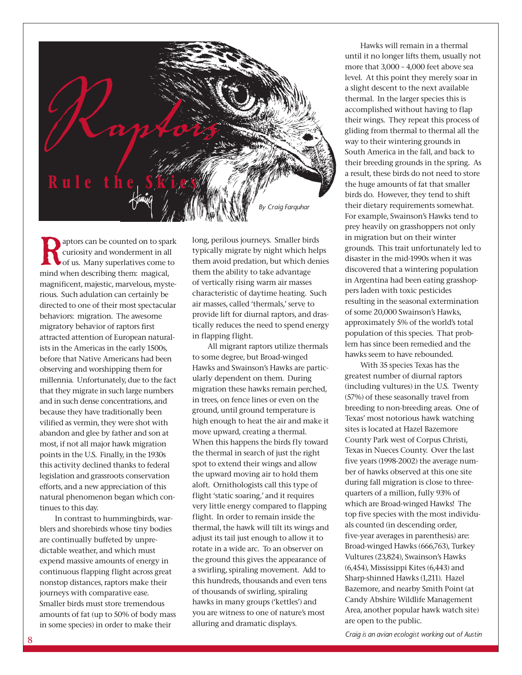

aptors can be counted on to spark curiosity and wonderment in all of us. Many superlatives come to mind when describing them: magical, magnificent, majestic, marvelous, mysterious. Such adulation can certainly be directed to one of their most spectacular behaviors: migration. The awesome migratory behavior of raptors first attracted attention of European naturalists in the Americas in the early 1500s, before that Native Americans had been observing and worshipping them for millennia. Unfortunately, due to the fact that they migrate in such large numbers and in such dense concentrations, and because they have traditionally been vilified as vermin, they were shot with abandon and glee by father and son at most, if not all major hawk migration points in the U.S. Finally, in the 1930s this activity declined thanks to federal legislation and grassroots conservation efforts, and a new appreciation of this natural phenomenon began which continues to this day.

In contrast to hummingbirds, warblers and shorebirds whose tiny bodies are continually buffeted by unpredictable weather, and which must expend massive amounts of energy in continuous flapping flight across great nonstop distances, raptors make their journeys with comparative ease. Smaller birds must store tremendous amounts of fat (up to 50% of body mass in some species) in order to make their

long, perilous journeys. Smaller birds typically migrate by night which helps them avoid predation, but which denies them the ability to take advantage of vertically rising warm air masses characteristic of daytime heating. Such air masses, called 'thermals,' serve to provide lift for diurnal raptors, and drastically reduces the need to spend energy in flapping flight.

All migrant raptors utilize thermals to some degree, but Broad-winged Hawks and Swainson's Hawks are particularly dependent on them. During migration these hawks remain perched, in trees, on fence lines or even on the ground, until ground temperature is high enough to heat the air and make it move upward, creating a thermal. When this happens the birds fly toward the thermal in search of just the right spot to extend their wings and allow the upward moving air to hold them aloft. Ornithologists call this type of flight 'static soaring,' and it requires very little energy compared to flapping flight. In order to remain inside the thermal, the hawk will tilt its wings and adjust its tail just enough to allow it to rotate in a wide arc. To an observer on the ground this gives the appearance of a swirling, spiraling movement. Add to this hundreds, thousands and even tens of thousands of swirling, spiraling hawks in many groups ('kettles') and you are witness to one of nature's most alluring and dramatic displays.

Hawks will remain in a thermal until it no longer lifts them, usually not more that 3,000 – 4,000 feet above sea level. At this point they merely soar in a slight descent to the next available thermal. In the larger species this is accomplished without having to flap their wings. They repeat this process of gliding from thermal to thermal all the way to their wintering grounds in South America in the fall, and back to their breeding grounds in the spring. As a result, these birds do not need to store the huge amounts of fat that smaller birds do. However, they tend to shift their dietary requirements somewhat. For example, Swainson's Hawks tend to prey heavily on grasshoppers not only in migration but on their winter grounds. This trait unfortunately led to disaster in the mid-1990s when it was discovered that a wintering population in Argentina had been eating grasshoppers laden with toxic pesticides resulting in the seasonal extermination of some 20,000 Swainson's Hawks, approximately 5% of the world's total population of this species. That problem has since been remedied and the hawks seem to have rebounded.

With 35 species Texas has the greatest number of diurnal raptors (including vultures) in the U.S. Twenty (57%) of these seasonally travel from breeding to non-breeding areas. One of Texas' most notorious hawk watching sites is located at Hazel Bazemore County Park west of Corpus Christi, Texas in Nueces County. Over the last five years (1998-2002) the average number of hawks observed at this one site during fall migration is close to threequarters of a million, fully 93% of which are Broad-winged Hawks! The top five species with the most individuals counted (in descending order, five-year averages in parenthesis) are: Broad-winged Hawks (666,763), Turkey Vultures (23,824), Swainson's Hawks (6,454), Mississippi Kites (6,443) and Sharp-shinned Hawks (1,211). Hazel Bazemore, and nearby Smith Point (at Candy Abshire Wildlife Management Area, another popular hawk watch site) are open to the public.

*Craig is an avian ecologist working out of Austin*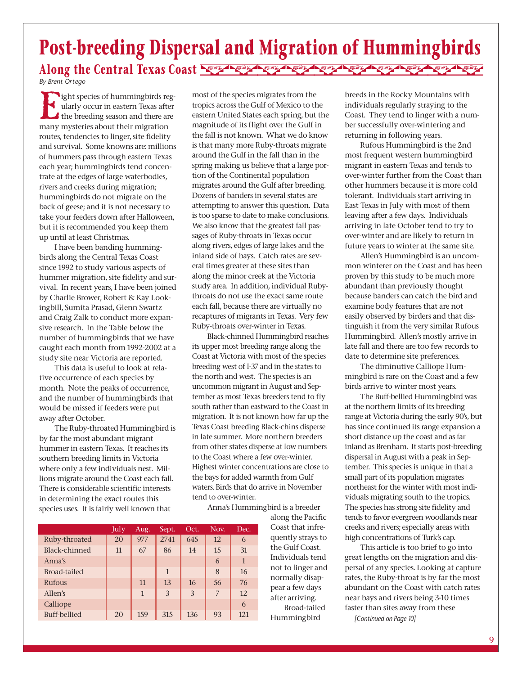### **Post-breeding Dispersal and Migration of Hummingbirds** Along the Central Texas Coast **News Agent Agent Agent Agent Agent Agent** Agent Agent *By Brent Ortego*

Eight species of hummingbirds reg-<br>ularly occur in eastern Texas after<br>the breeding season and there are<br>many mysteries about their migration ularly occur in eastern Texas after the breeding season and there are many mysteries about their migration routes, tendencies to linger, site fidelity and survival. Some knowns are: millions of hummers pass through eastern Texas each year; hummingbirds tend concentrate at the edges of large waterbodies, rivers and creeks during migration; hummingbirds do not migrate on the back of geese; and it is not necessary to take your feeders down after Halloween, but it is recommended you keep them up until at least Christmas.

I have been banding hummingbirds along the Central Texas Coast since 1992 to study various aspects of hummer migration, site fidelity and survival. In recent years, I have been joined by Charlie Brower, Robert & Kay Lookingbill, Sumita Prasad, Glenn Swartz and Craig Zalk to conduct more expansive research. In the Table below the number of hummingbirds that we have caught each month from 1992-2002 at a study site near Victoria are reported.

This data is useful to look at relative occurrence of each species by month. Note the peaks of occurrence, and the number of hummingbirds that would be missed if feeders were put away after October.

The Ruby-throated Hummingbird is by far the most abundant migrant hummer in eastern Texas. It reaches its southern breeding limits in Victoria where only a few individuals nest. Millions migrate around the Coast each fall. There is considerable scientific interests in determining the exact routes this species uses. It is fairly well known that

most of the species migrates from the tropics across the Gulf of Mexico to the eastern United States each spring, but the magnitude of its flight over the Gulf in the fall is not known. What we do know is that many more Ruby-throats migrate around the Gulf in the fall than in the spring making us believe that a large portion of the Continental population migrates around the Gulf after breeding. Dozens of banders in several states are attempting to answer this question. Data is too sparse to date to make conclusions. We also know that the greatest fall passages of Ruby-throats in Texas occur along rivers, edges of large lakes and the inland side of bays. Catch rates are several times greater at these sites than along the minor creek at the Victoria study area. In addition, individual Rubythroats do not use the exact same route each fall, because there are virtually no recaptures of migrants in Texas. Very few Ruby-throats over-winter in Texas.

Black-chinned Hummingbird reaches its upper most breeding range along the Coast at Victoria with most of the species breeding west of I-37 and in the states to the north and west. The species is an uncommon migrant in August and September as most Texas breeders tend to fly south rather than eastward to the Coast in migration. It is not known how far up the Texas Coast breeding Black-chins disperse in late summer. More northern breeders from other states disperse at low numbers to the Coast where a few over-winter. Highest winter concentrations are close to the bays for added warmth from Gulf waters. Birds that do arrive in November tend to over-winter.

Anna's Hummingbird is a breeder along the Pacific

> Coast that infrequently strays to the Gulf Coast. Individuals tend not to linger and normally disappear a few days after arriving. Broad-tailed Hummingbird

|                      | July | Aug. | Sept.        | Oct. | Nov. | Dec. |
|----------------------|------|------|--------------|------|------|------|
| Ruby-throated        | 20   | 977  | 2741         | 645  | 12   | 6    |
| <b>Black-chinned</b> | 11   | 67   | 86           | 14   | 15   | 31   |
| Anna's               |      |      |              |      | 6    |      |
| Broad-tailed         |      |      | $\mathbf{1}$ |      | 8    | 16   |
| <b>Rufous</b>        |      | 11   | 13           | 16   | 56   | 76   |
| Allen's              |      | 1    | 3            | 3    | 7    | 12   |
| Calliope             |      |      |              |      |      | 6    |
| <b>Buff-bellied</b>  | 20   | 159  | 315          | 136  | 93   | 121  |

breeds in the Rocky Mountains with individuals regularly straying to the Coast. They tend to linger with a number successfully over-wintering and returning in following years.

Rufous Hummingbird is the 2nd most frequent western hummingbird migrant in eastern Texas and tends to over-winter further from the Coast than other hummers because it is more cold tolerant. Individuals start arriving in East Texas in July with most of them leaving after a few days. Individuals arriving in late October tend to try to over-winter and are likely to return in future years to winter at the same site.

Allen's Hummingbird is an uncommon winterer on the Coast and has been proven by this study to be much more abundant than previously thought because banders can catch the bird and examine body features that are not easily observed by birders and that distinguish it from the very similar Rufous Hummingbird. Allen's mostly arrive in late fall and there are too few records to date to determine site preferences.

The diminutive Calliope Hummingbird is rare on the Coast and a few birds arrive to winter most years.

The Buff-bellied Hummingbird was at the northern limits of its breeding range at Victoria during the early 90's, but has since continued its range expansion a short distance up the coast and as far inland as Brenham. It starts post-breeding dispersal in August with a peak in September. This species is unique in that a small part of its population migrates northeast for the winter with most individuals migrating south to the tropics. The species has strong site fidelity and tends to favor evergreen woodlands near creeks and rivers; especially areas with high concentrations of Turk's cap.

This article is too brief to go into great lengths on the migration and dispersal of any species. Looking at capture rates, the Ruby-throat is by far the most abundant on the Coast with catch rates near bays and rivers being 3-10 times faster than sites away from these

*[Continued on Page 10]*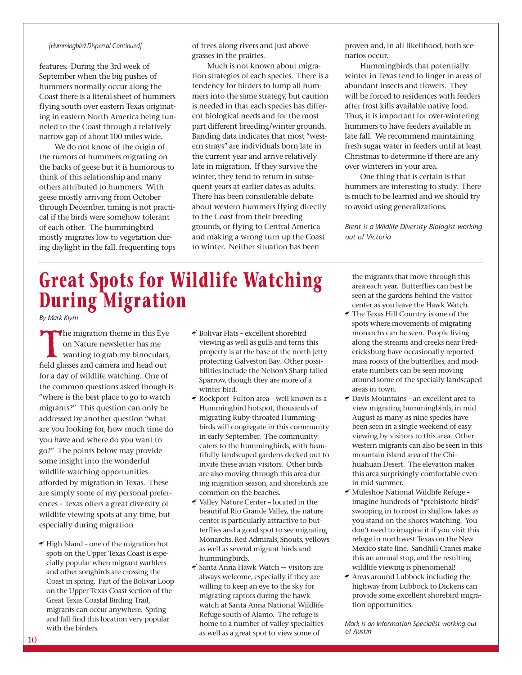#### *[Hummingbird Dispersal Continued]*

features. During the 3rd week of September when the big pushes of hummers normally occur along the Coast there is a literal sheet of hummers flying south over eastern Texas originating in eastern North America being funneled to the Coast through a relatively narrow gap of about 100 miles wide.

We do not know of the origin of the rumors of hummers migrating on the backs of geese but it is humorous to think of this relationship and many others attributed to hummers. With geese mostly arriving from October through December, timing is not practical if the birds were somehow tolerant of each other. The hummingbird mostly migrates low to vegetation during daylight in the fall, frequenting tops of trees along rivers and just above grasses in the prairies.

Much is not known about migration strategies of each species. There is a tendency for birders to lump all hummers into the same strategy, but caution is needed in that each species has different biological needs and for the most part different breeding/winter grounds. Banding data indicates that most "western strays" are individuals born late in the current year and arrive relatively late in migration. If they survive the winter, they tend to return in subsequent years at earlier dates as adults. There has been considerable debate about western hummers flying directly to the Coast from their breeding grounds, or flying to Central America and making a wrong turn up the Coast to winter. Neither situation has been

### **Great Spots for Wildlife Watching During Migration**

*By Mark Klym*

The migration theme in this Eye on Nature newsletter has me wanting to grab my binoculars, field glasses and camera and head out for a day of wildlife watching. One of the common questions asked though is "where is the best place to go to watch migrants?" This question can only be addressed by another question "what are you looking for, how much time do you have and where do you want to go?" The points below may provide some insight into the wonderful wildlife watching opportunities afforded by migration in Texas. These are simply some of my personal preferences – Texas offers a great diversity of wildlife viewing spots at any time, but especially during migration

 $\P$  High Island - one of the migration hot spots on the Upper Texas Coast is especially popular when migrant warblers and other songbirds are crossing the Coast in spring. Part of the Bolivar Loop on the Upper Texas Coast section of the Great Texas Coastal Birding Trail, migrants can occur anywhere. Spring and fall find this location very popular with the birders.

- g Bolivar Flats excellent shorebird viewing as well as gulls and terns this property is at the base of the north jetty protecting Galveston Bay. Other possibilities include the Nelson's Sharp-tailed Sparrow, though they are more of a winter bird.
- g Rockport- Fulton area well known as a Hummingbird hotspot, thousands of migrating Ruby-throated Hummingbirds will congregate in this community in early September. The community caters to the hummingbirds, with beautifully landscaped gardens decked out to invite these avian visitors. Other birds are also moving through this area during migration season, and shorebirds are common on the beaches.
- g Valley Nature Center located in the beautiful Rio Grande Valley, the nature center is particularly attractive to butterflies and a good spot to see migrating Monarchs, Red Admirals, Snouts, yellows as well as several migrant birds and hummingbirds.
- g Santa Anna Hawk Watch visitors are always welcome, especially if they are willing to keep an eye to the sky for migrating raptors during the hawk watch at Santa Anna National Wildlife Refuge south of Alamo. The refuge is home to a number of valley specialties as well as a great spot to view some of

proven and, in all likelihood, both scenarios occur.

Hummingbirds that potentially winter in Texas tend to linger in areas of abundant insects and flowers. They will be forced to residences with feeders after frost kills available native food. Thus, it is important for over-wintering hummers to have feeders available in late fall. We recommend maintaining fresh sugar water in feeders until at least Christmas to determine if there are any over winterers in your area.

One thing that is certain is that hummers are interesting to study. There is much to be learned and we should try to avoid using generalizations.

*Brent is a Wildlife Diversity Biologist working out of Victoria*

the migrants that move through this area each year. Butterflies can best be seen at the gardens behind the visitor center as you leave the Hawk Watch.

- $\blacktriangleleft$  The Texas Hill Country is one of the spots where movements of migrating monarchs can be seen. People living along the streams and creeks near Fredericksburg have occasionally reported mass roosts of the butterflies, and moderate numbers can be seen moving around some of the specially landscaped areas in town.
- $\triangleleft$  Davis Mountains an excellent area to view migrating hummingbirds, in mid August as many as nine species have been seen in a single weekend of easy viewing by visitors to this area. Other western migrants can also be seen in this mountain island area of the Chihuahuan Desert. The elevation makes this area surprisingly comfortable even in mid-summer.
- g Muleshoe National Wildlife Refuge imagine hundreds of "prehistoric birds" swooping in to roost in shallow lakes as you stand on the shores watching. You don't need to imagine it if you visit this refuge in northwest Texas on the New Mexico state line. Sandhill Cranes make this an annual stop, and the resulting wildlife viewing is phenomenal!
- $\mathcal A$  Areas around Lubbock including the highway from Lubbock to Dickens can provide some excellent shorebird migration opportunities.

*Mark is an Information Specialist working out of Austin*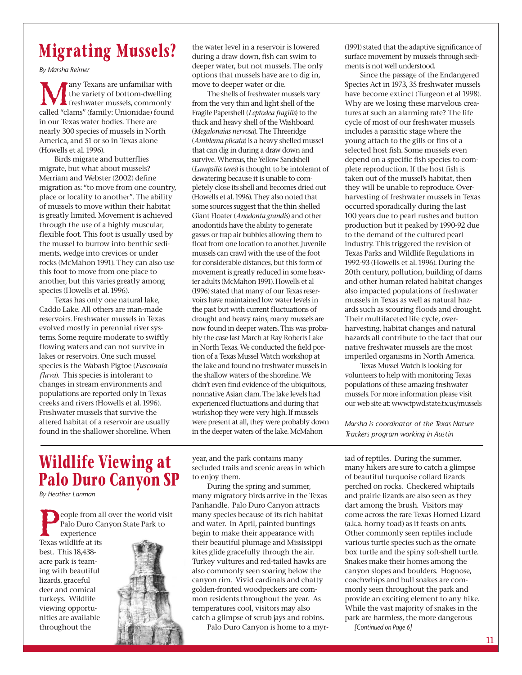### **Migrating Mussels?**

*By Marsha Reimer*

Many Texans are unfamiliar with<br>the variety of bottom-dwelling<br>freshwater mussels, commonly<br>called "clams" (family: Unionidae) found the variety of bottom-dwelling freshwater mussels, commonly called "clams" (family: Unionidae) found in our Texas water bodies. There are nearly 300 species of mussels in North America, and 51 or so in Texas alone (Howells et al. 1996).

Birds migrate and butterflies migrate, but what about mussels? Merriam and Webster (2002) define migration as: "to move from one country, place or locality to another". The ability of mussels to move within their habitat is greatly limited. Movement is achieved through the use of a highly muscular, flexible foot. This foot is usually used by the mussel to burrow into benthic sediments, wedge into crevices or under rocks (McMahon 1991). They can also use this foot to move from one place to another, but this varies greatly among species (Howells et al. 1996).

Texas has only one natural lake, Caddo Lake. All others are man-made reservoirs. Freshwater mussels in Texas evolved mostly in perennial river systems. Some require moderate to swiftly flowing waters and can not survive in lakes or reservoirs. One such mussel species is the Wabash Pigtoe (*Fusconaia flava*). This species is intolerant to changes in stream environments and populations are reported only in Texas creeks and rivers (Howells et al. 1996). Freshwater mussels that survive the altered habitat of a reservoir are usually found in the shallower shoreline. When

the water level in a reservoir is lowered during a draw down, fish can swim to deeper water, but not mussels. The only options that mussels have are to dig in, move to deeper water or die.

The shells of freshwater mussels vary from the very thin and light shell of the Fragile Papershell (*Leptodea fragilis*) to the thick and heavy shell of the Washboard (*Megalonaias nervosa*). The Threeridge (*Amblema plicata*) is a heavy shelled mussel that can dig in during a draw down and survive. Whereas, the Yellow Sandshell (*Lampsilis teres*) is thought to be intolerant of dewatering because it is unable to completely close its shell and becomes dried out (Howells et al. 1996). They also noted that some sources suggest that the thin shelled Giant Floater (*Anodonta grandis*) and other anodontids have the ability to generate gasses or trap air bubbles allowing them to float from one location to another. Juvenile mussels can crawl with the use of the foot for considerable distances, but this form of movement is greatly reduced in some heavier adults (McMahon 1991). Howells et al (1996) stated that many of our Texas reservoirs have maintained low water levels in the past but with current fluctuations of drought and heavy rains, many mussels are now found in deeper waters. This was probably the case last March at Ray Roberts Lake in North Texas. We conducted the field portion of a Texas Mussel Watch workshop at the lake and found no freshwater mussels in the shallow waters of the shoreline. We didn't even find evidence of the ubiquitous, nonnative Asian clam. The lake levels had experienced fluctuations and during that workshop they were very high. If mussels were present at all, they were probably down in the deeper waters of the lake. McMahon

(1991) stated that the adaptive significance of surface movement by mussels through sediments is not well understood.

Since the passage of the Endangered Species Act in 1973, 35 freshwater mussels have become extinct (Turgeon et al 1998). Why are we losing these marvelous creatures at such an alarming rate? The life cycle of most of our freshwater mussels includes a parasitic stage where the young attach to the gills or fins of a selected host fish. Some mussels even depend on a specific fish species to complete reproduction. If the host fish is taken out of the mussel's habitat, then they will be unable to reproduce. Overharvesting of freshwater mussels in Texas occurred sporadically during the last 100 years due to pearl rushes and button production but it peaked by 1990-92 due to the demand of the cultured pearl industry. This triggered the revision of Texas Parks and Wildlife Regulations in 1992-93 (Howells et al. 1996). During the 20th century, pollution, building of dams and other human related habitat changes also impacted populations of freshwater mussels in Texas as well as natural hazards such as scouring floods and drought. Their multifaceted life cycle, overharvesting, habitat changes and natural hazards all contribute to the fact that our native freshwater mussels are the most imperiled organisms in North America.

Texas Mussel Watch is looking for volunteers to help with monitoring Texas populations of these amazing freshwater mussels. For more information please visit our web site at: www.tpwd.state.tx.us/mussels

*Marsha is coordinator of the Texas Nature Trackers program working in Austin* 

### **Wildlife Viewing at Palo Duro Canyon SP**

*By Heather Lanman*

eople from all over the world visit Palo Duro Canyon State Park to experience Texas wildlife at its best. This 18,438 acre park is teaming with beautiful lizards, graceful deer and comical turkeys. Wildlife viewing opportunities are available throughout the

year, and the park contains many secluded trails and scenic areas in which to enjoy them.

During the spring and summer, many migratory birds arrive in the Texas Panhandle. Palo Duro Canyon attracts many species because of its rich habitat and water. In April, painted buntings begin to make their appearance with their beautiful plumage and Mississippi kites glide gracefully through the air. Turkey vultures and red-tailed hawks are also commonly seen soaring below the canyon rim. Vivid cardinals and chatty golden-fronted woodpeckers are common residents throughout the year. As temperatures cool, visitors may also catch a glimpse of scrub jays and robins.

Palo Duro Canyon is home to a myr-

iad of reptiles. During the summer, many hikers are sure to catch a glimpse of beautiful turquoise collard lizards perched on rocks. Checkered whiptails and prairie lizards are also seen as they dart among the brush. Visitors may come across the rare Texas Horned Lizard (a.k.a. horny toad) as it feasts on ants. Other commonly seen reptiles include various turtle species such as the ornate box turtle and the spiny soft-shell turtle. Snakes make their homes among the canyon slopes and boulders. Hognose, coachwhips and bull snakes are commonly seen throughout the park and provide an exciting element to any hike. While the vast majority of snakes in the park are harmless, the more dangerous

*[Continued on Page 6]*